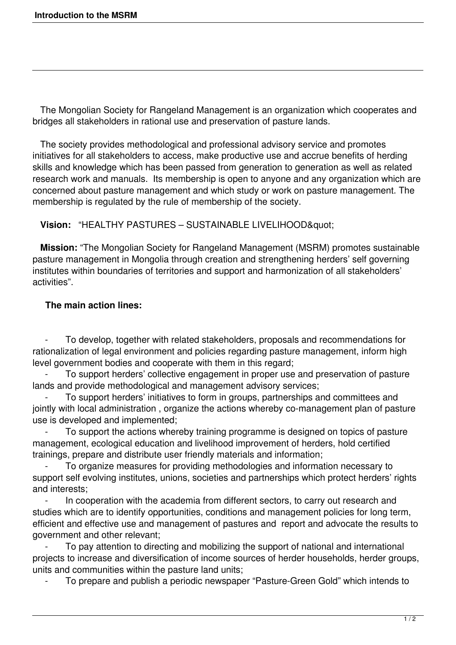The Mongolian Society for Rangeland Management is an organization which cooperates and bridges all stakeholders in rational use and preservation of pasture lands.

 The society provides methodological and professional advisory service and promotes initiatives for all stakeholders to access, make productive use and accrue benefits of herding skills and knowledge which has been passed from generation to generation as well as related research work and manuals. Its membership is open to anyone and any organization which are concerned about pasture management and which study or work on pasture management. The membership is regulated by the rule of membership of the society.

Vision: "HEALTHY PASTURES - SUSTAINABLE LIVELIHOOD"

 **Mission:** "The Mongolian Society for Rangeland Management (MSRM) promotes sustainable pasture management in Mongolia through creation and strengthening herders' self governing institutes within boundaries of territories and support and harmonization of all stakeholders' activities".

## **The main action lines:**

To develop, together with related stakeholders, proposals and recommendations for rationalization of legal environment and policies regarding pasture management, inform high level government bodies and cooperate with them in this regard;

To support herders' collective engagement in proper use and preservation of pasture lands and provide methodological and management advisory services;

To support herders' initiatives to form in groups, partnerships and committees and jointly with local administration, organize the actions whereby co-management plan of pasture use is developed and implemented;

To support the actions whereby training programme is designed on topics of pasture management, ecological education and livelihood improvement of herders, hold certified trainings, prepare and distribute user friendly materials and information;

 - To organize measures for providing methodologies and information necessary to support self evolving institutes, unions, societies and partnerships which protect herders' rights and interests;

In cooperation with the academia from different sectors, to carry out research and studies which are to identify opportunities, conditions and management policies for long term, efficient and effective use and management of pastures and report and advocate the results to government and other relevant;

To pay attention to directing and mobilizing the support of national and international projects to increase and diversification of income sources of herder households, herder groups, units and communities within the pasture land units;

- To prepare and publish a periodic newspaper "Pasture-Green Gold" which intends to